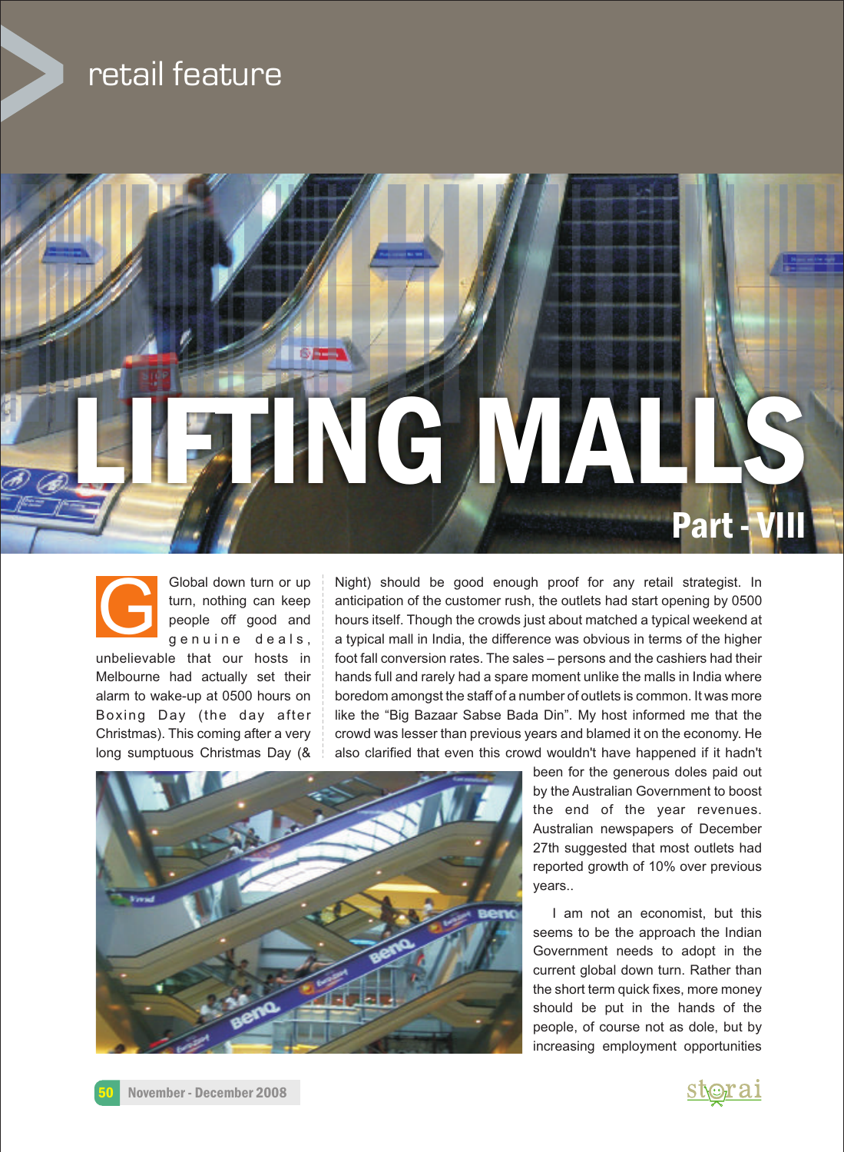## retail feature





Global down turn or up Night) should be good enough proof for any retail strategist. In turn, nothing can keep anticipation of the customer rush, the outlets had start opening by 0500 people off good and **hours itself. Though the crowds just about matched a typical weekend at**  $g e n u i n e$  deals, a typical mall in India, the difference was obvious in terms of the higher unbelievable that our hosts in foot fall conversion rates. The sales – persons and the cashiers had their Melbourne had actually set their hands full and rarely had a spare moment unlike the malls in India where alarm to wake-up at 0500 hours on boredom amongst the staff of a number of outlets is common. It was more Boxing Day (the day after like the "Big Bazaar Sabse Bada Din". My host informed me that the Christmas). This coming after a very crowd was lesser than previous years and blamed it on the economy. He long sumptuous Christmas Day  $(8 \cdot | \cdot)$  also clarified that even this crowd wouldn't have happened if it hadn't



been for the generous doles paid out by the Australian Government to boost the end of the year revenues. Australian newspapers of December 27th suggested that most outlets had reported growth of 10% over previous years..

I am not an economist, but this seems to be the approach the Indian Government needs to adopt in the current global down turn. Rather than the short term quick fixes, more money should be put in the hands of the people, of course not as dole, but by increasing employment opportunities

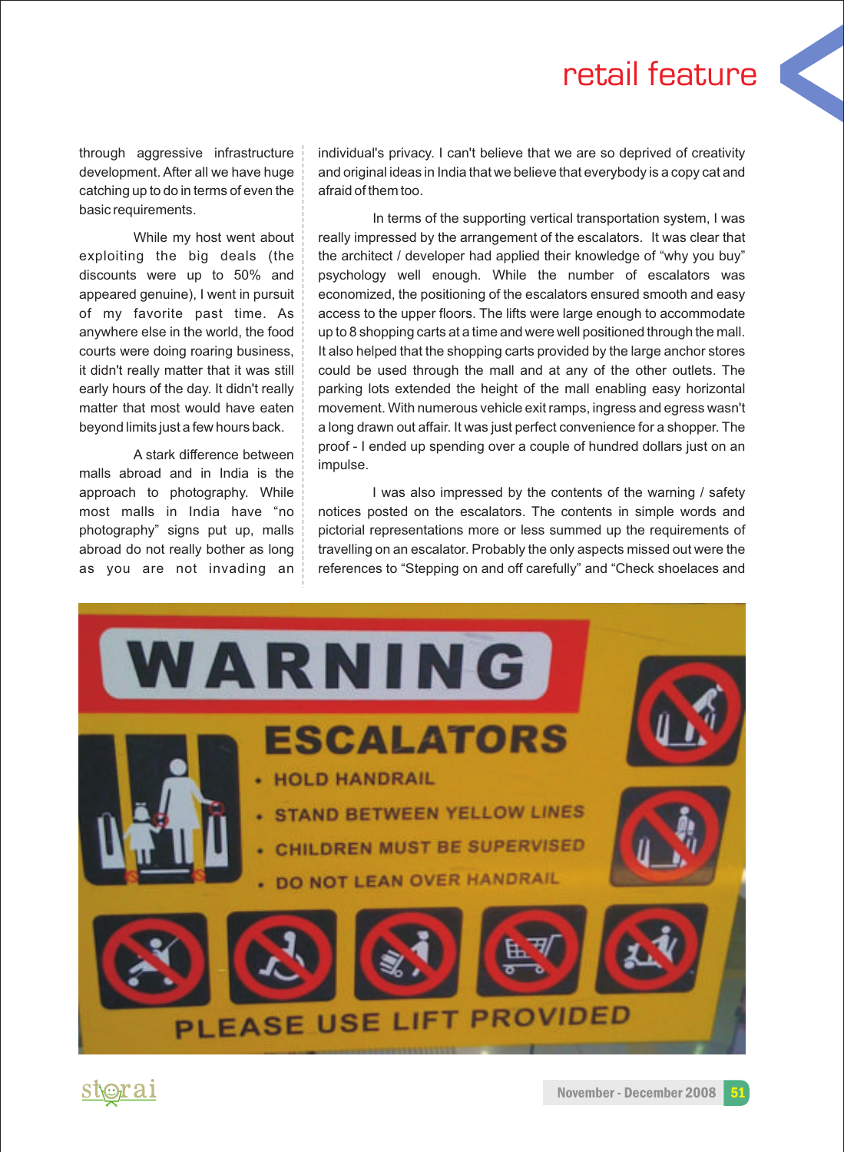## retail feature

catching up to do in terms of even the  $\frac{1}{2}$  afraid of them too.

malls abroad and in India is the

through aggressive infrastructure individual's privacy. I can't believe that we are so deprived of creativity development. After all we have huge and original ideas in India that we believe that everybody is a copy cat and

basic requirements. The supporting vertical transportation system, I was While my host went about really impressed by the arrangement of the escalators. It was clear that exploiting the big deals (the the architect / developer had applied their knowledge of "why you buy" discounts were up to 50% and psychology well enough. While the number of escalators was appeared genuine), I went in pursuit economized, the positioning of the escalators ensured smooth and easy of my favorite past time. As  $\vert$  access to the upper floors. The lifts were large enough to accommodate anywhere else in the world, the food  $\parallel$  up to 8 shopping carts at a time and were well positioned through the mall. courts were doing roaring business, It also helped that the shopping carts provided by the large anchor stores it didn't really matter that it was still could be used through the mall and at any of the other outlets. The early hours of the day. It didn't really parking lots extended the height of the mall enabling easy horizontal matter that most would have eaten movement. With numerous vehicle exit ramps, ingress and egress wasn't beyond limits just a few hours back. along drawn out affair. It was just perfect convenience for a shopper. The A stark difference between proof - I ended up spending over a couple of hundred dollars just on an A stark difference between impulse.

approach to photography. While  $\vert$  was also impressed by the contents of the warning / safety most malls in India have "no notices posted on the escalators. The contents in simple words and photography" signs put up, malls | pictorial representations more or less summed up the requirements of abroad do not really bother as long travelling on an escalator. Probably the only aspects missed out were the as you are not invading an references to "Stepping on and off carefully" and "Check shoelaces and